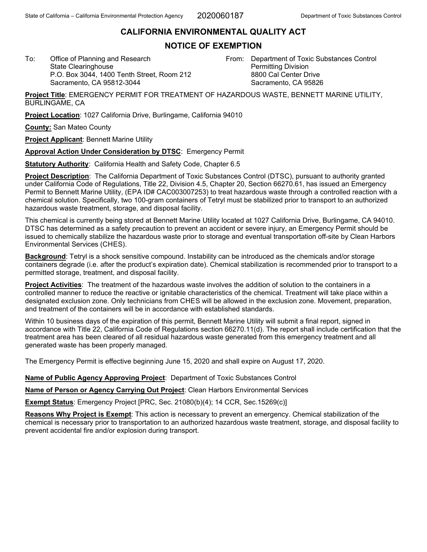## **CALIFORNIA ENVIRONMENTAL QUALITY ACT**

## **NOTICE OF EXEMPTION**

To: Office of Planning and Research State Clearinghouse P.O. Box 3044, 1400 Tenth Street, Room 212 Sacramento, CA 95812-3044

From: Department of Toxic Substances Control Permitting Division 8800 Cal Center Drive Sacramento, CA 95826

**Project Title**: EMERGENCY PERMIT FOR TREATMENT OF HAZARDOUS WASTE, BENNETT MARINE UTILITY, BURLINGAME, CA

**Project Location**: 1027 California Drive, Burlingame, California 94010

**County:** San Mateo County

**Project Applicant**: Bennett Marine Utility

**Approval Action Under Consideration by DTSC**: Emergency Permit

**Statutory Authority**: California Health and Safety Code, Chapter 6.5

**Project Description**: The California Department of Toxic Substances Control (DTSC), pursuant to authority granted under California Code of Regulations, Title 22, Division 4.5, Chapter 20, Section 66270.61, has issued an Emergency Permit to Bennett Marine Utility, (EPA ID# CAC003007253) to treat hazardous waste through a controlled reaction with a chemical solution. Specifically, two 100-gram containers of Tetryl must be stabilized prior to transport to an authorized hazardous waste treatment, storage, and disposal facility.

This chemical is currently being stored at Bennett Marine Utility located at 1027 California Drive, Burlingame, CA 94010. DTSC has determined as a safety precaution to prevent an accident or severe injury, an Emergency Permit should be issued to chemically stabilize the hazardous waste prior to storage and eventual transportation off-site by Clean Harbors Environmental Services (CHES).

**Background**: Tetryl is a shock sensitive compound. Instability can be introduced as the chemicals and/or storage containers degrade (i.e. after the product's expiration date). Chemical stabilization is recommended prior to transport to a permitted storage, treatment, and disposal facility.

**Project Activities**: The treatment of the hazardous waste involves the addition of solution to the containers in a controlled manner to reduce the reactive or ignitable characteristics of the chemical. Treatment will take place within a designated exclusion zone. Only technicians from CHES will be allowed in the exclusion zone. Movement, preparation, and treatment of the containers will be in accordance with established standards.

Within 10 business days of the expiration of this permit, Bennett Marine Utility will submit a final report, signed in accordance with Title 22, California Code of Regulations section 66270.11(d). The report shall include certification that the treatment area has been cleared of all residual hazardous waste generated from this emergency treatment and all generated waste has been properly managed.

The Emergency Permit is effective beginning June 15, 2020 and shall expire on August 17, 2020.

**Name of Public Agency Approving Project**: Department of Toxic Substances Control

**Name of Person or Agency Carrying Out Project**: Clean Harbors Environmental Services

**Exempt Status**: Emergency Project [PRC, Sec. 21080(b)(4); 14 CCR, Sec.15269(c)]

**Reasons Why Project is Exempt**: This action is necessary to prevent an emergency. Chemical stabilization of the chemical is necessary prior to transportation to an authorized hazardous waste treatment, storage, and disposal facility to prevent accidental fire and/or explosion during transport.